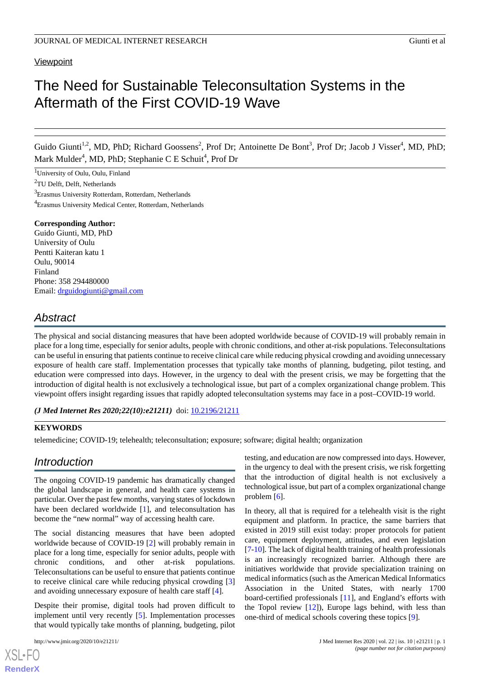### **Viewpoint**

# The Need for Sustainable Teleconsultation Systems in the Aftermath of the First COVID-19 Wave

Guido Giunti<sup>1,2</sup>, MD, PhD; Richard Goossens<sup>2</sup>, Prof Dr; Antoinette De Bont<sup>3</sup>, Prof Dr; Jacob J Visser<sup>4</sup>, MD, PhD; Mark Mulder<sup>4</sup>, MD, PhD; Stephanie C E Schuit<sup>4</sup>, Prof Dr

 $\overline{1}$ University of Oulu, Oulu, Finland

<sup>2</sup>TU Delft, Delft, Netherlands

<sup>3</sup>Erasmus University Rotterdam, Rotterdam, Netherlands

<sup>4</sup>Erasmus University Medical Center, Rotterdam, Netherlands

#### **Corresponding Author:**

Guido Giunti, MD, PhD University of Oulu Pentti Kaiteran katu 1 Oulu, 90014 Finland Phone: 358 294480000 Email: [drguidogiunti@gmail.com](mailto:drguidogiunti@gmail.com)

### *Abstract*

The physical and social distancing measures that have been adopted worldwide because of COVID-19 will probably remain in place for a long time, especially for senior adults, people with chronic conditions, and other at-risk populations. Teleconsultations can be useful in ensuring that patients continue to receive clinical care while reducing physical crowding and avoiding unnecessary exposure of health care staff. Implementation processes that typically take months of planning, budgeting, pilot testing, and education were compressed into days. However, in the urgency to deal with the present crisis, we may be forgetting that the introduction of digital health is not exclusively a technological issue, but part of a complex organizational change problem. This viewpoint offers insight regarding issues that rapidly adopted teleconsultation systems may face in a post–COVID-19 world.

*(J Med Internet Res 2020;22(10):e21211)* doi: [10.2196/21211](http://dx.doi.org/10.2196/21211)

### **KEYWORDS**

telemedicine; COVID-19; telehealth; teleconsultation; exposure; software; digital health; organization

### *Introduction*

The ongoing COVID-19 pandemic has dramatically changed the global landscape in general, and health care systems in particular. Over the past few months, varying states of lockdown have been declared worldwide [[1\]](#page-3-0), and teleconsultation has become the "new normal" way of accessing health care.

The social distancing measures that have been adopted worldwide because of COVID-19 [[2\]](#page-4-0) will probably remain in place for a long time, especially for senior adults, people with chronic conditions, and other at-risk populations. Teleconsultations can be useful to ensure that patients continue to receive clinical care while reducing physical crowding [\[3](#page-4-1)] and avoiding unnecessary exposure of health care staff [[4\]](#page-4-2).

Despite their promise, digital tools had proven difficult to implement until very recently [[5\]](#page-4-3). Implementation processes that would typically take months of planning, budgeting, pilot

[XSL](http://www.w3.org/Style/XSL)•FO **[RenderX](http://www.renderx.com/)**

testing, and education are now compressed into days. However, in the urgency to deal with the present crisis, we risk forgetting that the introduction of digital health is not exclusively a technological issue, but part of a complex organizational change problem [[6\]](#page-4-4).

In theory, all that is required for a telehealth visit is the right equipment and platform. In practice, the same barriers that existed in 2019 still exist today: proper protocols for patient care, equipment deployment, attitudes, and even legislation [[7](#page-4-5)[-10](#page-4-6)]. The lack of digital health training of health professionals is an increasingly recognized barrier. Although there are initiatives worldwide that provide specialization training on medical informatics (such as the American Medical Informatics Association in the United States, with nearly 1700 board-certified professionals [[11\]](#page-4-7), and England's efforts with the Topol review  $[12]$  $[12]$ ), Europe lags behind, with less than one-third of medical schools covering these topics [\[9](#page-4-9)].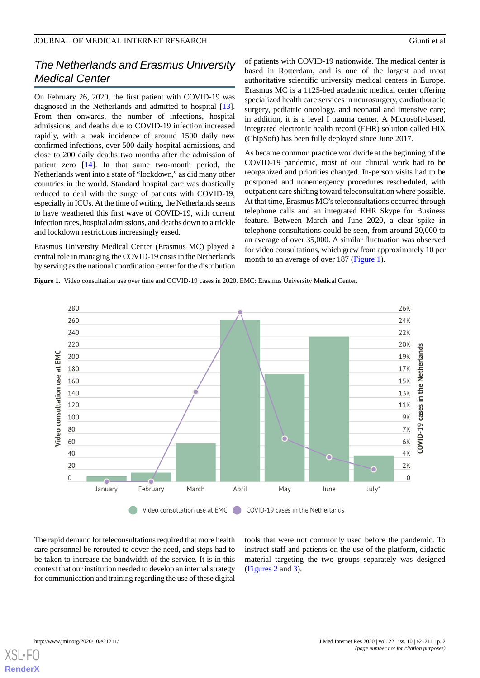### *The Netherlands and Erasmus University Medical Center*

On February 26, 2020, the first patient with COVID-19 was diagnosed in the Netherlands and admitted to hospital [[13\]](#page-4-10). From then onwards, the number of infections, hospital admissions, and deaths due to COVID-19 infection increased rapidly, with a peak incidence of around 1500 daily new confirmed infections, over 500 daily hospital admissions, and close to 200 daily deaths two months after the admission of patient zero [[14\]](#page-4-11). In that same two-month period, the Netherlands went into a state of "lockdown," as did many other countries in the world. Standard hospital care was drastically reduced to deal with the surge of patients with COVID-19, especially in ICUs. At the time of writing, the Netherlands seems to have weathered this first wave of COVID-19, with current infection rates, hospital admissions, and deaths down to a trickle and lockdown restrictions increasingly eased.

<span id="page-1-0"></span>Erasmus University Medical Center (Erasmus MC) played a central role in managing the COVID-19 crisis in the Netherlands by serving as the national coordination center for the distribution

of patients with COVID-19 nationwide. The medical center is based in Rotterdam, and is one of the largest and most authoritative scientific university medical centers in Europe. Erasmus MC is a 1125-bed academic medical center offering specialized health care services in neurosurgery, cardiothoracic surgery, pediatric oncology, and neonatal and intensive care; in addition, it is a level I trauma center. A Microsoft-based, integrated electronic health record (EHR) solution called HiX (ChipSoft) has been fully deployed since June 2017.

As became common practice worldwide at the beginning of the COVID-19 pandemic, most of our clinical work had to be reorganized and priorities changed. In-person visits had to be postponed and nonemergency procedures rescheduled, with outpatient care shifting toward teleconsultation where possible. At that time, Erasmus MC's teleconsultations occurred through telephone calls and an integrated EHR Skype for Business feature. Between March and June 2020, a clear spike in telephone consultations could be seen, from around 20,000 to an average of over 35,000. A similar fluctuation was observed for video consultations, which grew from approximately 10 per month to an average of over 187 ([Figure 1](#page-1-0)).

**Figure 1.** Video consultation use over time and COVID-19 cases in 2020. EMC: Erasmus University Medical Center.



The rapid demand for teleconsultations required that more health care personnel be rerouted to cover the need, and steps had to be taken to increase the bandwidth of the service. It is in this context that our institution needed to develop an internal strategy for communication and training regarding the use of these digital

tools that were not commonly used before the pandemic. To instruct staff and patients on the use of the platform, didactic material targeting the two groups separately was designed ([Figures 2](#page-2-0) and [3\)](#page-2-1).

[XSL](http://www.w3.org/Style/XSL)•FO **[RenderX](http://www.renderx.com/)**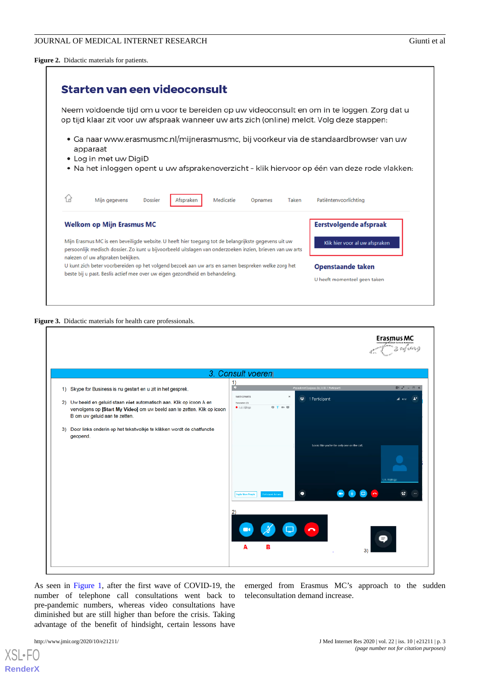<span id="page-2-0"></span>**Figure 2.** Didactic materials for patients.

| Starten van een videoconsult                                                                                                                                                                                                                           |                                                          |  |
|--------------------------------------------------------------------------------------------------------------------------------------------------------------------------------------------------------------------------------------------------------|----------------------------------------------------------|--|
| Neem voldoende tijd om u voor te bereiden op uw videoconsult en om in te loggen. Zorg dat u<br>op tijd klaar zit voor uw afspraak wanneer uw arts zich (online) meldt. Volg deze stappen:                                                              |                                                          |  |
| • Ga naar www.erasmusmc.nl/mijnerasmusmc, bij voorkeur via de standaardbrowser van uw<br>apparaat<br>• Log in met uw DigiD<br>• Na het inloggen opent u uw afsprakenoverzicht - klik hiervoor op één van deze rode vlakken:                            |                                                          |  |
| ſR<br>Mijn gegevens<br>Medicatie<br><b>Dossier</b><br>Taken<br>Afspraken<br>Opnames                                                                                                                                                                    | Patiëntenvoorlichting                                    |  |
| <b>Welkom op Mijn Erasmus MC</b>                                                                                                                                                                                                                       | <b>Eerstvolgende afspraak</b>                            |  |
| Mijn Erasmus MC is een beveiligde website. U heeft hier toegang tot de belangrijkste gegevens uit uw<br>persoonlijk medisch dossier. Zo kunt u bijvoorbeeld uitslagen van onderzoeken inzien, brieven van uw arts<br>nalezen of uw afspraken bekijken. | Klik hier voor al uw afspraken                           |  |
| U kunt zich beter voorbereiden op het volgend bezoek aan uw arts en samen bespreken welke zorg het<br>beste bij u past. Beslis actief mee over uw eigen gezondheid en behandeling.                                                                     | <b>Openstaande taken</b><br>U heeft momenteel geen taken |  |

### <span id="page-2-1"></span>**Figure 3.** Didactic materials for health care professionals.

|                                                                                                                                      | <b>Erasmus MC</b><br>i <sup>rban</sup> n is, onfadosasj<br>肥工                                                                                                                                                                               |  |
|--------------------------------------------------------------------------------------------------------------------------------------|---------------------------------------------------------------------------------------------------------------------------------------------------------------------------------------------------------------------------------------------|--|
| 3. Consult voeren                                                                                                                    |                                                                                                                                                                                                                                             |  |
| 1) Skype for Business is nu gestart en u zit in het gesprek.<br>2) Uw beeld en geluid staan niet automatisch aan. Klik op icoon A en | 1)<br>m.<br>Afgrask met lungaam dat in in (1 Participant)<br>$E: \mathbb{Z} \times \mathbb{R} \times \mathbb{R}$<br><b>PARTICIPANTS</b><br>$\boldsymbol{\varkappa}$<br>卷 1 Participant<br>$\mathbf{d}$ etz $\mathbf{A}^*$<br>Presenters (1) |  |
| vervolgens op [Start My Video] om uw beeld aan te zetten. Klik op icoon<br>B om uw geluid aan te zetten.                             | · La rijkep<br>$0$ $T = 0$                                                                                                                                                                                                                  |  |
| 3) Door links onderin op het tekstwolkje te klikken wordt de chatfunctie<br>geopend.                                                 | Looks like you're the only one on the call.                                                                                                                                                                                                 |  |
|                                                                                                                                      | UA MARIGI                                                                                                                                                                                                                                   |  |
|                                                                                                                                      | 48<br>۰<br>$\tilde{\phantom{a}}$<br><b>Iraile More People</b><br>et com Arian                                                                                                                                                               |  |
|                                                                                                                                      | $\mathbf{2}$<br>$\blacksquare$<br>Θ<br>A<br>в<br>3)                                                                                                                                                                                         |  |
|                                                                                                                                      |                                                                                                                                                                                                                                             |  |

As seen in [Figure 1](#page-1-0), after the first wave of COVID-19, the number of telephone call consultations went back to pre-pandemic numbers, whereas video consultations have diminished but are still higher than before the crisis. Taking advantage of the benefit of hindsight, certain lessons have

emerged from Erasmus MC's approach to the sudden teleconsultation demand increase.

[XSL](http://www.w3.org/Style/XSL)•FO **[RenderX](http://www.renderx.com/)**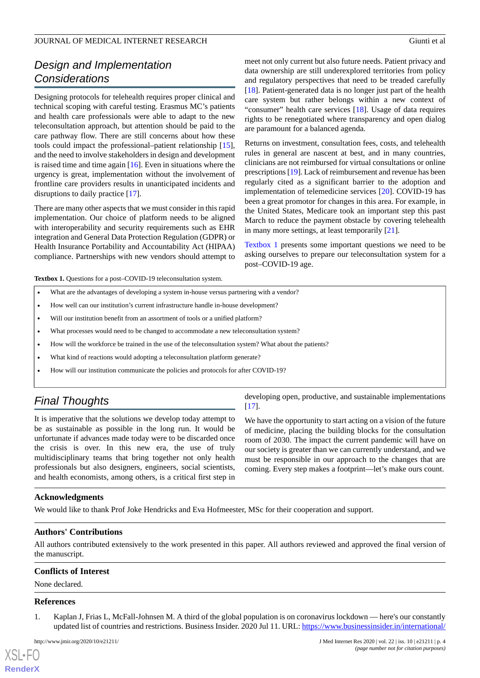### JOURNAL OF MEDICAL INTERNET RESEARCH Giunti et al

## *Design and Implementation Considerations*

Designing protocols for telehealth requires proper clinical and technical scoping with careful testing. Erasmus MC's patients and health care professionals were able to adapt to the new teleconsultation approach, but attention should be paid to the care pathway flow. There are still concerns about how these tools could impact the professional–patient relationship [[15\]](#page-4-12), and the need to involve stakeholders in design and development is raised time and time again [\[16](#page-4-13)]. Even in situations where the urgency is great, implementation without the involvement of frontline care providers results in unanticipated incidents and disruptions to daily practice [[17\]](#page-4-14).

There are many other aspects that we must consider in this rapid implementation. Our choice of platform needs to be aligned with interoperability and security requirements such as EHR integration and General Data Protection Regulation (GDPR) or Health Insurance Portability and Accountability Act (HIPAA) compliance. Partnerships with new vendors should attempt to

meet not only current but also future needs. Patient privacy and data ownership are still underexplored territories from policy and regulatory perspectives that need to be treaded carefully [[18\]](#page-4-15). Patient-generated data is no longer just part of the health care system but rather belongs within a new context of "consumer" health care services [\[18](#page-4-15)]. Usage of data requires rights to be renegotiated where transparency and open dialog are paramount for a balanced agenda.

Returns on investment, consultation fees, costs, and telehealth rules in general are nascent at best, and in many countries, clinicians are not reimbursed for virtual consultations or online prescriptions [[19\]](#page-4-16). Lack of reimbursement and revenue has been regularly cited as a significant barrier to the adoption and implementation of telemedicine services [\[20](#page-4-17)]. COVID-19 has been a great promotor for changes in this area. For example, in the United States, Medicare took an important step this past March to reduce the payment obstacle by covering telehealth in many more settings, at least temporarily [\[21](#page-4-18)].

[Textbox 1](#page-3-1) presents some important questions we need to be asking ourselves to prepare our teleconsultation system for a post–COVID-19 age.

<span id="page-3-1"></span>Textbox 1. Questions for a post–COVID-19 teleconsultation system.

- What are the advantages of developing a system in-house versus partnering with a vendor?
- How well can our institution's current infrastructure handle in-house development?
- Will our institution benefit from an assortment of tools or a unified platform?
- What processes would need to be changed to accommodate a new teleconsultation system?
- How will the workforce be trained in the use of the teleconsultation system? What about the patients?
- What kind of reactions would adopting a teleconsultation platform generate?
- How will our institution communicate the policies and protocols for after COVID-19?

### *Final Thoughts*

It is imperative that the solutions we develop today attempt to be as sustainable as possible in the long run. It would be unfortunate if advances made today were to be discarded once the crisis is over. In this new era, the use of truly multidisciplinary teams that bring together not only health professionals but also designers, engineers, social scientists, and health economists, among others, is a critical first step in

developing open, productive, and sustainable implementations [[17\]](#page-4-14).

We have the opportunity to start acting on a vision of the future of medicine, placing the building blocks for the consultation room of 2030. The impact the current pandemic will have on our society is greater than we can currently understand, and we must be responsible in our approach to the changes that are coming. Every step makes a footprint—let's make ours count.

### **Acknowledgments**

We would like to thank Prof Joke Hendricks and Eva Hofmeester, MSc for their cooperation and support.

### **Authors' Contributions**

<span id="page-3-0"></span>All authors contributed extensively to the work presented in this paper. All authors reviewed and approved the final version of the manuscript.

### **Conflicts of Interest**

None declared.

#### **References**

 $XS$  $\cdot$ FC **[RenderX](http://www.renderx.com/)**

1. Kaplan J, Frias L, McFall-Johnsen M. A third of the global population is on coronavirus lockdown — here's our constantly updated list of countries and restrictions. Business Insider. 2020 Jul 11. URL: [https://www.businessinsider.in/international/](https://www.businessinsider.in/international/news/a-third-of-the-global-population-is-on-coronavirus-lockdown-x2014-hereaposs-our-constantly-updated-list-of-countries-and-restrictions/slidelist/75208623.cms)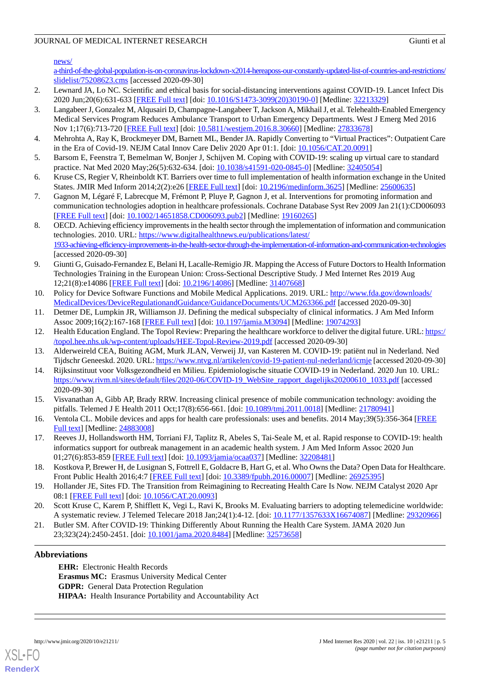### JOURNAL OF MEDICAL INTERNET RESEARCH Giunti et al

[news/](https://www.businessinsider.in/international/news/a-third-of-the-global-population-is-on-coronavirus-lockdown-x2014-hereaposs-our-constantly-updated-list-of-countries-and-restrictions/slidelist/75208623.cms)

[a-third-of-the-global-population-is-on-coronavirus-lockdown-x2014-hereaposs-our-constantly-updated-list-of-countries-and-restrictions/](https://www.businessinsider.in/international/news/a-third-of-the-global-population-is-on-coronavirus-lockdown-x2014-hereaposs-our-constantly-updated-list-of-countries-and-restrictions/slidelist/75208623.cms) [slidelist/75208623.cms](https://www.businessinsider.in/international/news/a-third-of-the-global-population-is-on-coronavirus-lockdown-x2014-hereaposs-our-constantly-updated-list-of-countries-and-restrictions/slidelist/75208623.cms) [accessed 2020-09-30]

- <span id="page-4-1"></span><span id="page-4-0"></span>2. Lewnard JA, Lo NC. Scientific and ethical basis for social-distancing interventions against COVID-19. Lancet Infect Dis 2020 Jun;20(6):631-633 [\[FREE Full text\]](http://europepmc.org/abstract/MED/32213329) [doi: [10.1016/S1473-3099\(20\)30190-0](http://dx.doi.org/10.1016/S1473-3099(20)30190-0)] [Medline: [32213329\]](http://www.ncbi.nlm.nih.gov/entrez/query.fcgi?cmd=Retrieve&db=PubMed&list_uids=32213329&dopt=Abstract)
- 3. Langabeer J, Gonzalez M, Alqusairi D, Champagne-Langabeer T, Jackson A, Mikhail J, et al. Telehealth-Enabled Emergency Medical Services Program Reduces Ambulance Transport to Urban Emergency Departments. West J Emerg Med 2016 Nov 1;17(6):713-720 [[FREE Full text\]](http://europepmc.org/abstract/MED/27833678) [doi: [10.5811/westjem.2016.8.30660](http://dx.doi.org/10.5811/westjem.2016.8.30660)] [Medline: [27833678\]](http://www.ncbi.nlm.nih.gov/entrez/query.fcgi?cmd=Retrieve&db=PubMed&list_uids=27833678&dopt=Abstract)
- <span id="page-4-3"></span><span id="page-4-2"></span>4. Mehrohta A, Ray K, Brockmeyer DM, Barnett ML, Bender JA. Rapidly Converting to "Virtual Practices": Outpatient Care in the Era of Covid-19. NEJM Catal Innov Care Deliv 2020 Apr 01:1. [doi: [10.1056/CAT.20.0091](http://dx.doi.org/10.1056/CAT.20.0091)]
- <span id="page-4-4"></span>5. Barsom E, Feenstra T, Bemelman W, Bonjer J, Schijven M. Coping with COVID-19: scaling up virtual care to standard practice. Nat Med 2020 May;26(5):632-634. [doi: [10.1038/s41591-020-0845-0\]](http://dx.doi.org/10.1038/s41591-020-0845-0) [Medline: [32405054\]](http://www.ncbi.nlm.nih.gov/entrez/query.fcgi?cmd=Retrieve&db=PubMed&list_uids=32405054&dopt=Abstract)
- <span id="page-4-5"></span>6. Kruse CS, Regier V, Rheinboldt KT. Barriers over time to full implementation of health information exchange in the United States. JMIR Med Inform 2014;2(2):e26 [\[FREE Full text\]](http://medinform.jmir.org/2014/2/e26/) [doi: [10.2196/medinform.3625](http://dx.doi.org/10.2196/medinform.3625)] [Medline: [25600635\]](http://www.ncbi.nlm.nih.gov/entrez/query.fcgi?cmd=Retrieve&db=PubMed&list_uids=25600635&dopt=Abstract)
- 7. Gagnon M, Légaré F, Labrecque M, Frémont P, Pluye P, Gagnon J, et al. Interventions for promoting information and communication technologies adoption in healthcare professionals. Cochrane Database Syst Rev 2009 Jan 21(1):CD006093 [[FREE Full text](http://europepmc.org/abstract/MED/19160265)] [doi: [10.1002/14651858.CD006093.pub2\]](http://dx.doi.org/10.1002/14651858.CD006093.pub2) [Medline: [19160265](http://www.ncbi.nlm.nih.gov/entrez/query.fcgi?cmd=Retrieve&db=PubMed&list_uids=19160265&dopt=Abstract)]
- <span id="page-4-9"></span>8. OECD. Achieving efficiency improvements in the health sector through the implementation of information and communication technologies. 2010. URL: [https://www.digitalhealthnews.eu/publications/latest/](https://www.digitalhealthnews.eu/publications/latest/1933-achieving-efficiency-improvements-in-the-health-sector-through-the-implementation-of-information-and-communication-technologies) [1933-achieving-efficiency-improvements-in-the-health-sector-through-the-implementation-of-information-and-communication-technologies](https://www.digitalhealthnews.eu/publications/latest/1933-achieving-efficiency-improvements-in-the-health-sector-through-the-implementation-of-information-and-communication-technologies) [accessed 2020-09-30]
- <span id="page-4-6"></span>9. Giunti G, Guisado-Fernandez E, Belani H, Lacalle-Remigio JR. Mapping the Access of Future Doctors to Health Information Technologies Training in the European Union: Cross-Sectional Descriptive Study. J Med Internet Res 2019 Aug 12;21(8):e14086 [\[FREE Full text](https://www.jmir.org/2019/8/e14086/)] [doi: [10.2196/14086\]](http://dx.doi.org/10.2196/14086) [Medline: [31407668\]](http://www.ncbi.nlm.nih.gov/entrez/query.fcgi?cmd=Retrieve&db=PubMed&list_uids=31407668&dopt=Abstract)
- <span id="page-4-8"></span><span id="page-4-7"></span>10. Policy for Device Software Functions and Mobile Medical Applications. 2019. URL: [http://www.fda.gov/downloads/](http://www.fda.gov/downloads/MedicalDevices/DeviceRegulationandGuidance/GuidanceDocuments/UCM263366.pdf) [MedicalDevices/DeviceRegulationandGuidance/GuidanceDocuments/UCM263366.pdf](http://www.fda.gov/downloads/MedicalDevices/DeviceRegulationandGuidance/GuidanceDocuments/UCM263366.pdf) [accessed 2020-09-30]
- <span id="page-4-10"></span>11. Detmer DE, Lumpkin JR, Williamson JJ. Defining the medical subspecialty of clinical informatics. J Am Med Inform Assoc 2009;16(2):167-168 [[FREE Full text](http://europepmc.org/abstract/MED/19074293)] [doi: [10.1197/jamia.M3094](http://dx.doi.org/10.1197/jamia.M3094)] [Medline: [19074293](http://www.ncbi.nlm.nih.gov/entrez/query.fcgi?cmd=Retrieve&db=PubMed&list_uids=19074293&dopt=Abstract)]
- <span id="page-4-11"></span>12. Health Education England. The Topol Review: Preparing the healthcare workforce to deliver the digital future. URL: [https:/](https://topol.hee.nhs.uk/wp-content/uploads/HEE-Topol-Review-2019.pdf) [/topol.hee.nhs.uk/wp-content/uploads/HEE-Topol-Review-2019.pdf](https://topol.hee.nhs.uk/wp-content/uploads/HEE-Topol-Review-2019.pdf) [accessed 2020-09-30]
- <span id="page-4-12"></span>13. Alderweireld CEA, Buiting AGM, Murk JLAN, Verweij JJ, van Kasteren M. COVID-19: patiënt nul in Nederland. Ned Tijdschr Geneeskd. 2020. URL:<https://www.ntvg.nl/artikelen/covid-19-patient-nul-nederland/icmje> [accessed 2020-09-30]
- <span id="page-4-13"></span>14. Rijksinstituut voor Volksgezondheid en Milieu. Epidemiologische situatie COVID-19 in Nederland. 2020 Jun 10. URL: [https://www.rivm.nl/sites/default/files/2020-06/COVID-19\\_WebSite\\_rapport\\_dagelijks20200610\\_1033.pdf](https://www.rivm.nl/sites/default/files/2020-06/COVID-19_WebSite_rapport_dagelijks20200610_1033.pdf) [accessed] 2020-09-30]
- <span id="page-4-14"></span>15. Visvanathan A, Gibb AP, Brady RRW. Increasing clinical presence of mobile communication technology: avoiding the pitfalls. Telemed J E Health 2011 Oct;17(8):656-661. [doi: [10.1089/tmj.2011.0018\]](http://dx.doi.org/10.1089/tmj.2011.0018) [Medline: [21780941](http://www.ncbi.nlm.nih.gov/entrez/query.fcgi?cmd=Retrieve&db=PubMed&list_uids=21780941&dopt=Abstract)]
- <span id="page-4-15"></span>16. Ventola CL. Mobile devices and apps for health care professionals: uses and benefits. 2014 May;39(5):356-364 [\[FREE](http://europepmc.org/abstract/MED/24883008) [Full text\]](http://europepmc.org/abstract/MED/24883008) [Medline: [24883008\]](http://www.ncbi.nlm.nih.gov/entrez/query.fcgi?cmd=Retrieve&db=PubMed&list_uids=24883008&dopt=Abstract)
- <span id="page-4-16"></span>17. Reeves JJ, Hollandsworth HM, Torriani FJ, Taplitz R, Abeles S, Tai-Seale M, et al. Rapid response to COVID-19: health informatics support for outbreak management in an academic health system. J Am Med Inform Assoc 2020 Jun 01;27(6):853-859 [[FREE Full text](http://europepmc.org/abstract/MED/32208481)] [doi: [10.1093/jamia/ocaa037](http://dx.doi.org/10.1093/jamia/ocaa037)] [Medline: [32208481\]](http://www.ncbi.nlm.nih.gov/entrez/query.fcgi?cmd=Retrieve&db=PubMed&list_uids=32208481&dopt=Abstract)
- <span id="page-4-18"></span><span id="page-4-17"></span>18. Kostkova P, Brewer H, de Lusignan S, Fottrell E, Goldacre B, Hart G, et al. Who Owns the Data? Open Data for Healthcare. Front Public Health 2016;4:7 [\[FREE Full text\]](https://doi.org/10.3389/fpubh.2016.00007) [doi: [10.3389/fpubh.2016.00007\]](http://dx.doi.org/10.3389/fpubh.2016.00007) [Medline: [26925395](http://www.ncbi.nlm.nih.gov/entrez/query.fcgi?cmd=Retrieve&db=PubMed&list_uids=26925395&dopt=Abstract)]
- 19. Hollander JE, Sites FD. The Transition from Reimagining to Recreating Health Care Is Now. NEJM Catalyst 2020 Apr 08:1 [\[FREE Full text\]](https://catalyst.nejm.org/doi/full/10.1056/CAT.20.0093) [doi: [10.1056/CAT.20.0093](http://dx.doi.org/10.1056/CAT.20.0093)]
- 20. Scott Kruse C, Karem P, Shifflett K, Vegi L, Ravi K, Brooks M. Evaluating barriers to adopting telemedicine worldwide: A systematic review. J Telemed Telecare 2018 Jan;24(1):4-12. [doi: [10.1177/1357633X16674087\]](http://dx.doi.org/10.1177/1357633X16674087) [Medline: [29320966](http://www.ncbi.nlm.nih.gov/entrez/query.fcgi?cmd=Retrieve&db=PubMed&list_uids=29320966&dopt=Abstract)]
- 21. Butler SM. After COVID-19: Thinking Differently About Running the Health Care System. JAMA 2020 Jun 23;323(24):2450-2451. [doi: [10.1001/jama.2020.8484](http://dx.doi.org/10.1001/jama.2020.8484)] [Medline: [32573658\]](http://www.ncbi.nlm.nih.gov/entrez/query.fcgi?cmd=Retrieve&db=PubMed&list_uids=32573658&dopt=Abstract)

### **Abbreviations**

**EHR:** Electronic Health Records **Erasmus MC:** Erasmus University Medical Center **GDPR:** General Data Protection Regulation **HIPAA:** Health Insurance Portability and Accountability Act